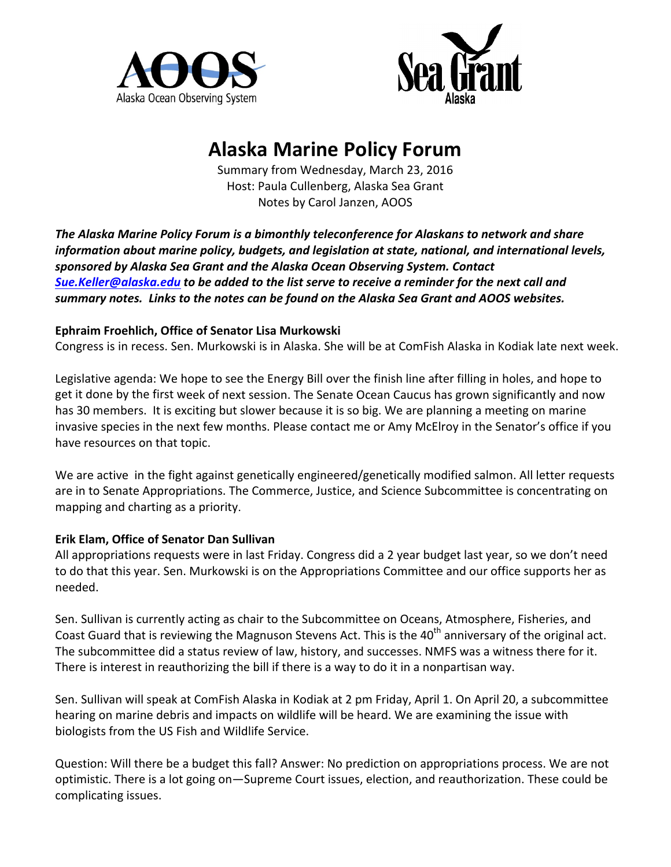



# **Alaska Marine Policy Forum**

Summary from Wednesday, March 23, 2016 Host: Paula Cullenberg, Alaska Sea Grant Notes by Carol Janzen, AOOS

The Alaska Marine Policy Forum is a bimonthly teleconference for Alaskans to network and share *information about marine policy, budgets, and legislation at state, national, and international levels,* sponsored by Alaska Sea Grant and the Alaska Ocean Observing System. Contact **Sue.Keller@alaska.edu** to be added to the list serve to receive a reminder for the next call and summary notes. Links to the notes can be found on the Alaska Sea Grant and AOOS websites.

## **Ephraim Froehlich, Office of Senator Lisa Murkowski**

Congress is in recess. Sen. Murkowski is in Alaska. She will be at ComFish Alaska in Kodiak late next week.

Legislative agenda: We hope to see the Energy Bill over the finish line after filling in holes, and hope to get it done by the first week of next session. The Senate Ocean Caucus has grown significantly and now has 30 members. It is exciting but slower because it is so big. We are planning a meeting on marine invasive species in the next few months. Please contact me or Amy McElroy in the Senator's office if you have resources on that topic.

We are active in the fight against genetically engineered/genetically modified salmon. All letter requests are in to Senate Appropriations. The Commerce, Justice, and Science Subcommittee is concentrating on mapping and charting as a priority.

### **Erik Elam, Office of Senator Dan Sullivan**

All appropriations requests were in last Friday. Congress did a 2 year budget last year, so we don't need to do that this year. Sen. Murkowski is on the Appropriations Committee and our office supports her as needed.

Sen. Sullivan is currently acting as chair to the Subcommittee on Oceans, Atmosphere, Fisheries, and Coast Guard that is reviewing the Magnuson Stevens Act. This is the 40<sup>th</sup> anniversary of the original act. The subcommittee did a status review of law, history, and successes. NMFS was a witness there for it. There is interest in reauthorizing the bill if there is a way to do it in a nonpartisan way.

Sen. Sullivan will speak at ComFish Alaska in Kodiak at 2 pm Friday, April 1. On April 20, a subcommittee hearing on marine debris and impacts on wildlife will be heard. We are examining the issue with biologists from the US Fish and Wildlife Service.

Question: Will there be a budget this fall? Answer: No prediction on appropriations process. We are not optimistic. There is a lot going on—Supreme Court issues, election, and reauthorization. These could be complicating issues.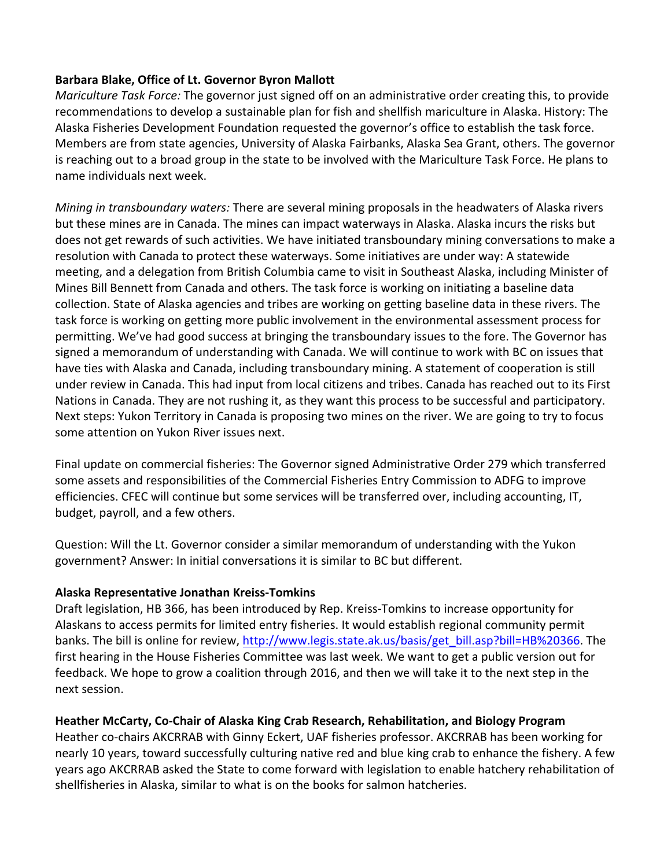#### Barbara Blake, Office of Lt. Governor Byron Mallott

*Mariculture Task Force:* The governor just signed off on an administrative order creating this, to provide recommendations to develop a sustainable plan for fish and shellfish mariculture in Alaska. History: The Alaska Fisheries Development Foundation requested the governor's office to establish the task force. Members are from state agencies, University of Alaska Fairbanks, Alaska Sea Grant, others. The governor is reaching out to a broad group in the state to be involved with the Mariculture Task Force. He plans to name individuals next week.

*Mining in transboundary waters:* There are several mining proposals in the headwaters of Alaska rivers but these mines are in Canada. The mines can impact waterways in Alaska. Alaska incurs the risks but does not get rewards of such activities. We have initiated transboundary mining conversations to make a resolution with Canada to protect these waterways. Some initiatives are under way: A statewide meeting, and a delegation from British Columbia came to visit in Southeast Alaska, including Minister of Mines Bill Bennett from Canada and others. The task force is working on initiating a baseline data collection. State of Alaska agencies and tribes are working on getting baseline data in these rivers. The task force is working on getting more public involvement in the environmental assessment process for permitting. We've had good success at bringing the transboundary issues to the fore. The Governor has signed a memorandum of understanding with Canada. We will continue to work with BC on issues that have ties with Alaska and Canada, including transboundary mining. A statement of cooperation is still under review in Canada. This had input from local citizens and tribes. Canada has reached out to its First Nations in Canada. They are not rushing it, as they want this process to be successful and participatory. Next steps: Yukon Territory in Canada is proposing two mines on the river. We are going to try to focus some attention on Yukon River issues next.

Final update on commercial fisheries: The Governor signed Administrative Order 279 which transferred some assets and responsibilities of the Commercial Fisheries Entry Commission to ADFG to improve efficiencies. CFEC will continue but some services will be transferred over, including accounting, IT, budget, payroll, and a few others.

Question: Will the Lt. Governor consider a similar memorandum of understanding with the Yukon government? Answer: In initial conversations it is similar to BC but different.

### **Alaska Representative Jonathan Kreiss-Tomkins**

Draft legislation, HB 366, has been introduced by Rep. Kreiss-Tomkins to increase opportunity for Alaskans to access permits for limited entry fisheries. It would establish regional community permit banks. The bill is online for review, http://www.legis.state.ak.us/basis/get\_bill.asp?bill=HB%20366. The first hearing in the House Fisheries Committee was last week. We want to get a public version out for feedback. We hope to grow a coalition through 2016, and then we will take it to the next step in the next session. 

### **Heather McCarty, Co-Chair of Alaska King Crab Research, Rehabilitation, and Biology Program**

Heather co-chairs AKCRRAB with Ginny Eckert, UAF fisheries professor. AKCRRAB has been working for nearly 10 years, toward successfully culturing native red and blue king crab to enhance the fishery. A few years ago AKCRRAB asked the State to come forward with legislation to enable hatchery rehabilitation of shellfisheries in Alaska, similar to what is on the books for salmon hatcheries.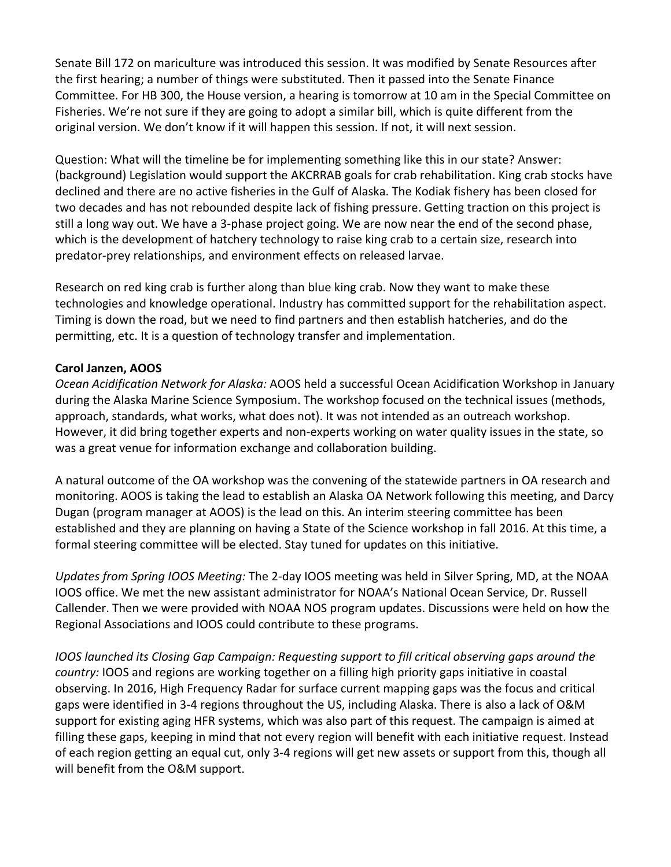Senate Bill 172 on mariculture was introduced this session. It was modified by Senate Resources after the first hearing; a number of things were substituted. Then it passed into the Senate Finance Committee. For HB 300, the House version, a hearing is tomorrow at 10 am in the Special Committee on Fisheries. We're not sure if they are going to adopt a similar bill, which is quite different from the original version. We don't know if it will happen this session. If not, it will next session.

Question: What will the timeline be for implementing something like this in our state? Answer: (background) Legislation would support the AKCRRAB goals for crab rehabilitation. King crab stocks have declined and there are no active fisheries in the Gulf of Alaska. The Kodiak fishery has been closed for two decades and has not rebounded despite lack of fishing pressure. Getting traction on this project is still a long way out. We have a 3-phase project going. We are now near the end of the second phase, which is the development of hatchery technology to raise king crab to a certain size, research into predator-prey relationships, and environment effects on released larvae.

Research on red king crab is further along than blue king crab. Now they want to make these technologies and knowledge operational. Industry has committed support for the rehabilitation aspect. Timing is down the road, but we need to find partners and then establish hatcheries, and do the permitting, etc. It is a question of technology transfer and implementation.

### **Carol Janzen, AOOS**

*Ocean Acidification Network for Alaska:* AOOS held a successful Ocean Acidification Workshop in January during the Alaska Marine Science Symposium. The workshop focused on the technical issues (methods, approach, standards, what works, what does not). It was not intended as an outreach workshop. However, it did bring together experts and non-experts working on water quality issues in the state, so was a great venue for information exchange and collaboration building.

A natural outcome of the OA workshop was the convening of the statewide partners in OA research and monitoring. AOOS is taking the lead to establish an Alaska OA Network following this meeting, and Darcy Dugan (program manager at AOOS) is the lead on this. An interim steering committee has been established and they are planning on having a State of the Science workshop in fall 2016. At this time, a formal steering committee will be elected. Stay tuned for updates on this initiative.

*Updates from Spring IOOS Meeting:* The 2-day IOOS meeting was held in Silver Spring, MD, at the NOAA IOOS office. We met the new assistant administrator for NOAA's National Ocean Service, Dr. Russell Callender. Then we were provided with NOAA NOS program updates. Discussions were held on how the Regional Associations and IOOS could contribute to these programs.

*IOOS* launched its Closing Gap Campaign: Requesting support to fill critical observing gaps around the *country:* IOOS and regions are working together on a filling high priority gaps initiative in coastal observing. In 2016, High Frequency Radar for surface current mapping gaps was the focus and critical gaps were identified in 3-4 regions throughout the US, including Alaska. There is also a lack of O&M support for existing aging HFR systems, which was also part of this request. The campaign is aimed at filling these gaps, keeping in mind that not every region will benefit with each initiative request. Instead of each region getting an equal cut, only 3-4 regions will get new assets or support from this, though all will benefit from the O&M support.